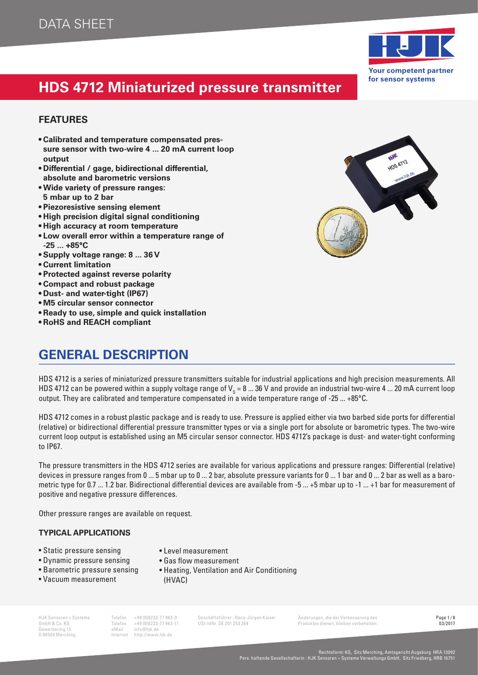

HDS 4712

# **HDS 4712 Miniaturized pressure transmitter**

#### **FEATURES**

- **• Calibrated and temperature compensated pressure sensor with two-wire 4 ... 20 mA current loop output**
- **• Differential / gage, bidirectional differential, absolute and barometric versions**
- **• Wide variety of pressure ranges: 5 mbar up to 2 bar**
- **• Piezoresistive sensing element**
- **• High precision digital signal conditioning**
- **• High accuracy at room temperature**
- **• Low overall error within a temperature range of -25 ... +85°C**
- **• Supply voltage range: 8 ... 36 V**
- **• Current limitation**
- **• Protected against reverse polarity**
- **• Compact and robust package**
- **• Dust- and water-tight (IP67)**
- **• M5 circular sensor connector**
- **• Ready to use, simple and quick installation**
- **• RoHS and REACH compliant**

### **GENERAL DESCRIPTION**

HDS 4712 is a series of miniaturized pressure transmitters suitable for industrial applications and high precision measurements. All HDS 4712 can be powered within a supply voltage range of V $_{\rm s}$  = 8 … 36 V and provide an industrial two-wire 4 … 20 mA current loop output. They are calibrated and temperature compensated in a wide temperature range of -25 ... +85°C.

HDS 4712 comes in a robust plastic package and is ready to use. Pressure is applied either via two barbed side ports for differential (relative) or bidirectional differential pressure transmitter types or via a single port for absolute or barometric types. The two-wire current loop output is established using an M5 circular sensor connector. HDS 4712's package is dust- and water-tight conforming to IP67.

The pressure transmitters in the HDS 4712 series are available for various applications and pressure ranges: Differential (relative) devices in pressure ranges from 0 ... 5 mbar up to 0 ... 2 bar, absolute pressure variants for 0 ... 1 bar and 0 ... 2 bar as well as a barometric type for 0.7 ... 1.2 bar. Bidirectional differential devices are available from -5 ... +5 mbar up to -1 ... +1 bar for measurement of positive and negative pressure differences.

Other pressure ranges are available on request.

#### **TYPICAL APPLICATIONS**

- Static pressure sensing
- Dynamic pressure sensing
- Barometric pressure sensing
- Vacuum measurement
- Level measurement
- Gas flow measurement
- Heating, Ventilation and Air Conditioning (HVAC)

HJK Sensoren + Systeme Telefon +49 (0)8233-77 963-0 Geschäftsführer : Hans-Jürgen Kaiser Änderungen, die der Verbesserung des Page 1/8<br>GmbH & Co. KG – Telefax +49 (0)8233-77 963-11 USt-IdNr. DE 201 253 264 – Produktes dien Telefax +49 (0)8233-77 963-11 USt-IdNr. DE 201 253 264 Produktes dienen, bleiben vorbehalten.<br>eMail info@hik.de

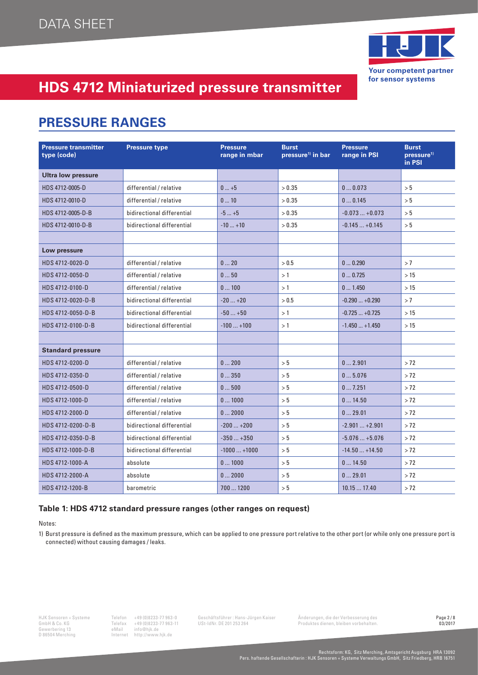

### **PRESSURE RANGES**

| <b>Pressure transmitter</b><br>type (code) | <b>Pressure type</b>       | <b>Pressure</b><br>range in mbar | <b>Burst</b><br>pressure <sup>1)</sup> in bar | <b>Pressure</b><br>range in PSI | <b>Burst</b><br>pressure <sup>1)</sup><br>in PSI |
|--------------------------------------------|----------------------------|----------------------------------|-----------------------------------------------|---------------------------------|--------------------------------------------------|
| <b>Ultra low pressure</b>                  |                            |                                  |                                               |                                 |                                                  |
| HDS 4712-0005-D                            | differential / relative    | $0+5$                            | > 0.35                                        | 00.073                          | > 5                                              |
| HDS 4712-0010-D                            | differential / relative    | 010                              | > 0.35                                        | 00.145                          | > 5                                              |
| HDS 4712-0005-D-B                          | bidirectional differential | $-5+5$                           | > 0.35                                        | $-0.073+0.073$                  | > 5                                              |
| HDS 4712-0010-D-B                          | bidirectional differential | $-10+10$                         | > 0.35                                        | $-0.145+0.145$                  | > 5                                              |
|                                            |                            |                                  |                                               |                                 |                                                  |
| Low pressure                               |                            |                                  |                                               |                                 |                                                  |
| HDS 4712-0020-D                            | differential / relative    | 020                              | > 0.5                                         | 00.290                          | >7                                               |
| HDS 4712-0050-D                            | differential / relative    | 050                              | >1                                            | 00.725                          | >15                                              |
| HDS 4712-0100-D                            | differential / relative    | 0100                             | >1                                            | 0 1.450                         | >15                                              |
| HDS 4712-0020-D-B                          | bidirectional differential | $-20+20$                         | > 0.5                                         | $-0.290+0.290$                  | >7                                               |
| HDS 4712-0050-D-B                          | bidirectional differential | $-50+50$                         | >1                                            | $-0.725+0.725$                  | >15                                              |
| HDS 4712-0100-D-B                          | bidirectional differential | $-100+100$                       | >1                                            | $-1.450+1.450$                  | >15                                              |
|                                            |                            |                                  |                                               |                                 |                                                  |
| <b>Standard pressure</b>                   |                            |                                  |                                               |                                 |                                                  |
| HDS 4712-0200-D                            | differential / relative    | 0200                             | > 5                                           | 02.901                          | > 72                                             |
| HDS 4712-0350-D                            | differential / relative    | 0350                             | > 5                                           | 05.076                          | > 72                                             |
| HDS 4712-0500-D                            | differential / relative    | 0500                             | > 5                                           | 07.251                          | > 72                                             |
| HDS 4712-1000-D                            | differential / relative    | 01000                            | > 5                                           | 014.50                          | > 72                                             |
| HDS 4712-2000-D                            | differential / relative    | 02000                            | > 5                                           | 029.01                          | > 72                                             |
| HDS 4712-0200-D-B                          | bidirectional differential | $-200+200$                       | > 5                                           | $-2.901+2.901$                  | > 72                                             |
| HDS 4712-0350-D-B                          | bidirectional differential | $-350+350$                       | > 5                                           | $-5.076+5.076$                  | > 72                                             |
| HDS 4712-1000-D-B                          | bidirectional differential | $-1000+1000$                     | > 5                                           | $-14.50+14.50$                  | > 72                                             |
| HDS 4712-1000-A                            | absolute                   | 01000                            | > 5                                           | 014.50                          | > 72                                             |
| HDS 4712-2000-A                            | absolute                   | 02000                            | > 5                                           | 029.01                          | > 72                                             |
| HDS 4712-1200-B                            | barometric                 | 700  1200                        | > 5                                           | 10.1517.40                      | > 72                                             |

#### **Table 1: HDS 4712 standard pressure ranges (other ranges on request)**

Notes:

1) Burst pressure is defined as the maximum pressure, which can be applied to one pressure port relative to the other port (or while only one pressure port is connected) without causing damages / leaks.

GmbH & Co. KG Telefax +49 (0)8233-77 963-11 USt-IdNr. DE 201 253 264 Produktes dienen, bleiben vorbehalten.<br>Gewerbering 13 eMail info@hjk.de D86504 Merching Internet http://www.hjk.de Gewerbering 13 eMail info@hjk.de D 86504 Merching Internet http://www.hjk.de

HJK Sensoren + Systeme Telefon +49 (0)8233-77 963-0 Geschäftsführer : Hans-Jürgen Kaiser Änderungen, die der Verbesserung des **Page 2/8**<br>GmbH & Co. KG – Telefax +49 (0)8233-77 963-11 USt-IdNr. DE 201 253 264 – Produktes di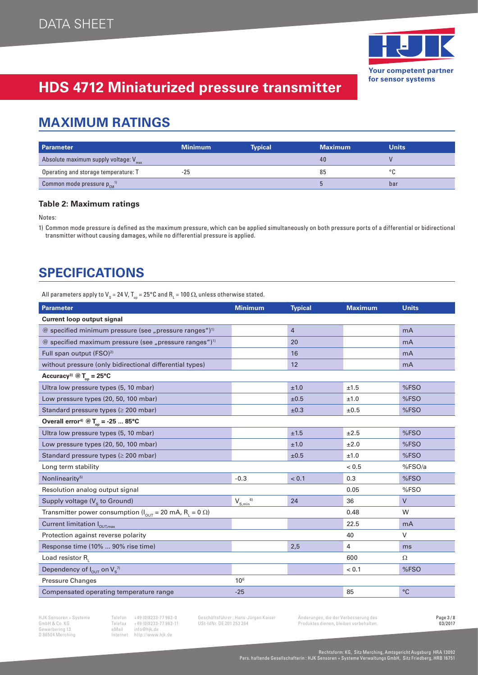

### **MAXIMUM RATINGS**

| Parameter                                  | <b>Minimum</b> | <b>Typical</b> | <b>Maximum</b> | <b>Units</b> |
|--------------------------------------------|----------------|----------------|----------------|--------------|
| Absolute maximum supply voltage: $V_{max}$ |                |                | 40             |              |
| Operating and storage temperature: T       | $-25$          |                | 85             |              |
| Common mode pressure $p_{cm}^{(1)}$        |                |                |                | bar          |

#### **Table 2: Maximum ratings**

Notes:

1) Common mode pressure is defined as the maximum pressure, which can be applied simultaneously on both pressure ports of a differential or bidirectional transmitter without causing damages, while no differential pressure is applied.

### **SPECIFICATIONS**

All parameters apply to V<sub>s</sub> = 24 V, T<sub>op</sub> = 25°C and R<sub>L</sub> = 100  $\Omega$ , unless otherwise stated.

| Parameter                                                                        | <b>Minimum</b>  | <b>Typical</b> | <b>Maximum</b> | <b>Units</b> |
|----------------------------------------------------------------------------------|-----------------|----------------|----------------|--------------|
| <b>Current loop output signal</b>                                                |                 |                |                |              |
| @ specified minimum pressure (see "pressure ranges") <sup>1)</sup>               |                 | 4              |                | mA           |
| @ specified maximum pressure (see "pressure ranges") <sup>1)</sup>               |                 | 20             |                | mA           |
| Full span output (FSO) <sup>2)</sup>                                             |                 | 16             |                | mA           |
| without pressure (only bidirectional differential types)                         |                 | 12             |                | mA           |
| Accuracy <sup>3)</sup> @ $T_{op} = 25$ °C                                        |                 |                |                |              |
| Ultra low pressure types (5, 10 mbar)                                            |                 | ±1.0           | ±1.5           | %FSO         |
| Low pressure types (20, 50, 100 mbar)                                            |                 | ±0.5           | ±1.0           | %FSO         |
| Standard pressure types ( $\geq 200$ mbar)                                       |                 | ±0.3           | ±0.5           | %FSO         |
| Overall error <sup>4)</sup> @ $T_{\text{op}}$ = -25  85°C                        |                 |                |                |              |
| Ultra low pressure types (5, 10 mbar)                                            |                 | ±1.5           | ±2.5           | %FSO         |
| Low pressure types (20, 50, 100 mbar)                                            |                 | ±1.0           | ±2.0           | %FSO         |
| Standard pressure types (≥ 200 mbar)                                             |                 | ±0.5           | ±1.0           | %FSO         |
| Long term stability                                                              |                 |                | < 0.5          | %FSO/a       |
| Nonlinearity <sup>5)</sup>                                                       | $-0.3$          | < 0.1          | 0.3            | %FSO         |
| Resolution analog output signal                                                  |                 |                | 0.05           | %FSO         |
| Supply voltage $(V_s$ to Ground)                                                 | $V_{S,min}^{6}$ | 24             | 36             | $\vee$       |
| Transmitter power consumption ( $I_{OUT}$ = 20 mA, R <sub>L</sub> = 0 $\Omega$ ) |                 |                | 0.48           | W            |
| Current limitation $I_{\text{OUT,max}}$                                          |                 |                | 22.5           | mA           |
| Protection against reverse polarity                                              |                 |                | 40             | V            |
| Response time (10%  90% rise time)                                               |                 | 2,5            | $\overline{4}$ | ms           |
| Load resistor $R_1$                                                              |                 |                | 600            | $\Omega$     |
| Dependency of $I_{\text{out}}$ on $V_s^{\gamma}$                                 |                 |                | < 0.1          | %FSO         |
| <b>Pressure Changes</b>                                                          | $10^{6}$        |                |                |              |
| Compensated operating temperature range                                          | $-25$           |                | 85             | $\circ$ C    |

Gewerbering 13<br>D 86504 Merching

GmbH A Co. Co. KG Telefax +49 (0)8233-77 963-11 USt-IdNr. DE 201 253 264 Produktes dienen, bleiben vorbehalten.<br>
eMail info@hjk.de Produktes dienen, bleiben vorbehalten.<br>
eMail info@hjk.de Produktes dienen, bleiben vorbeha D 86504 Merching Internet http://www.hjk.de

HJK Sensoren + Systeme Telefon +49 (0)8233-77 963-0 Geschäftsführer : Hans-Jürgen Kaiser Änderungen, die der Verbesserung des **Page 3/8**<br>GmbH & Co. KG – Telefax +49 (0)8233-77 963-11 USt-IdNr. DE 201 253 264 – Produktes di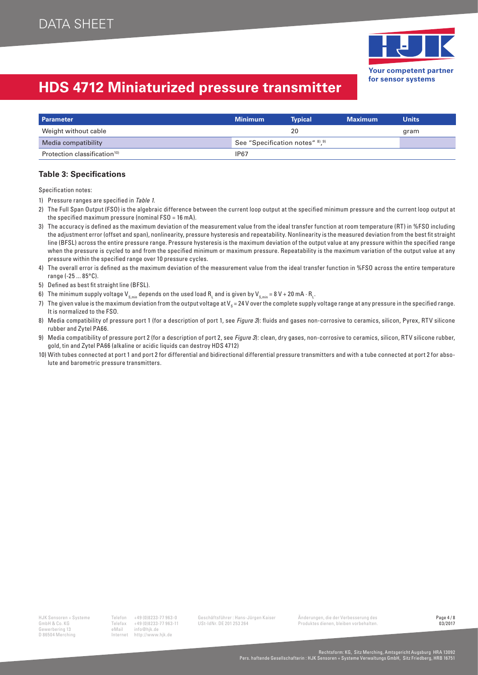

| <b>Parameter</b>                        | <b>Minimum</b>                  | <b>Typical</b> | <b>Maximum</b> | <b>Units</b> |
|-----------------------------------------|---------------------------------|----------------|----------------|--------------|
| Weight without cable                    |                                 | 20             |                | gram         |
| Media compatibility                     | See "Specification notes" 8, 9) |                |                |              |
| Protection classification <sup>10</sup> | IP67                            |                |                |              |

#### **Table 3: Specifications**

Specification notes:

- 1) Pressure ranges are specified in Table 1.
- 2) The Full Span Output (FSO) is the algebraic difference between the current loop output at the specified minimum pressure and the current loop output at the specified maximum pressure (nominal FSO = 16 mA).
- 3) The accuracy is defined as the maximum deviation of the measurement value from the ideal transfer function at room temperature (RT) in %FSO including the adjustment error (offset and span), nonlinearity, pressure hysteresis and repeatability. Nonlinearity is the measured deviation from the best fit straight line (BFSL) across the entire pressure range. Pressure hysteresis is the maximum deviation of the output value at any pressure within the specified range when the pressure is cycled to and from the specified minimum or maximum pressure. Repeatability is the maximum variation of the output value at any pressure within the specified range over 10 pressure cycles.
- 4) The overall error is defined as the maximum deviation of the measurement value from the ideal transfer function in %FSO across the entire temperature range (-25 ... 85°C).
- 5) Defined as best fit straight line (BFSL).
- 6) The minimum supply voltage V $_{\rm s,min}$  depends on the used load  $\rm R_{_L}$  and is given by V $_{\rm s,min}$  = 8 V + 20 mA  $\cdot$   $\rm R_{_L}$ .
- 7) The given value is the maximum deviation from the output voltage at V<sub>s</sub> = 24 V over the complete supply voltage range at any pressure in the specified range. It is normalized to the FSO.
- 8) Media compatibility of pressure port 1 (for a description of port 1, see Figure 3): fluids and gases non-corrosive to ceramics, silicon, Pyrex, RTV silicone rubber and Zytel PA66.
- 9) Media compatibility of pressure port 2 (for a description of port 2, see Figure 3): clean, dry gases, non-corrosive to ceramics, silicon, RTV silicone rubber, gold, tin and Zytel PA66 (alkaline or acidic liquids can destroy HDS 4712)
- 10) With tubes connected at port 1 and port 2 for differential and bidirectional differential pressure transmitters and with a tube connected at port 2 for absolute and barometric pressure transmitters.

Gewerbering 13 eMail<br>D 86504 Merching htternet

Telefax +49 (0)8233-77 963-11 USt-IdNr. DE 201 253 264 Produktes dienen, bleiben vorbehalten.<br>eMail info@hik.de D 86504 Merching Internet http://www.hjk.de

HJK Sensoren + Systeme Telefon +49 (0)8233-77 963-0 Geschäftsführer : Hans-Jürgen Kaiser Änderungen, die der Verbesserung des Page 4/8<br>GmbH & Co. KG – Telefax +49 (0)8233-77 963-11 USt-IdNr. DE 201 253 264 – Produktes dien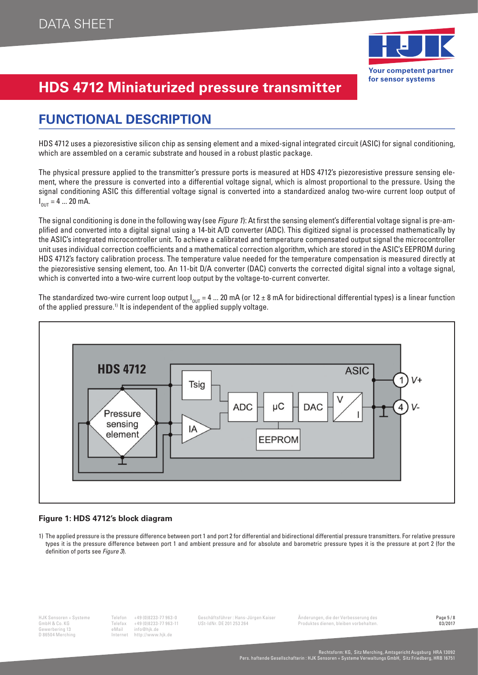

## **FUNCTIONAL DESCRIPTION**

HDS 4712 uses a piezoresistive silicon chip as sensing element and a mixed-signal integrated circuit (ASIC) for signal conditioning, which are assembled on a ceramic substrate and housed in a robust plastic package.

The physical pressure applied to the transmitter's pressure ports is measured at HDS 4712's piezoresistive pressure sensing element, where the pressure is converted into a differential voltage signal, which is almost proportional to the pressure. Using the signal conditioning ASIC this differential voltage signal is converted into a standardized analog two-wire current loop output of  $I_{\text{OUT}} = 4 ... 20 \text{ mA}.$ 

The signal conditioning is done in the following way (see Figure 1): At first the sensing element's differential voltage signal is pre-amplified and converted into a digital signal using a 14-bit A/D converter (ADC). This digitized signal is processed mathematically by the ASIC's integrated microcontroller unit. To achieve a calibrated and temperature compensated output signal the microcontroller unit uses individual correction coefficients and a mathematical correction algorithm, which are stored in the ASIC's EEPROM during HDS 4712's factory calibration process. The temperature value needed for the temperature compensation is measured directly at the piezoresistive sensing element, too. An 11-bit D/A converter (DAC) converts the corrected digital signal into a voltage signal, which is converted into a two-wire current loop output by the voltage-to-current converter.

The standardized two-wire current loop output  $I_{\text{our}} = 4$  ... 20 mA (or 12 ± 8 mA for bidirectional differential types) is a linear function of the applied pressure.<sup>1)</sup> It is independent of the applied supply voltage.



#### **Figure 1: HDS 4712's block diagram**

1) The applied pressure is the pressure difference between port 1 and port 2 for differential and bidirectional differential pressure transmitters. For relative pressure types it is the pressure difference between port 1 and ambient pressure and for absolute and barometric pressure types it is the pressure at port 2 (for the definition of ports see Figure 3).

Gewerbering 13 eMail<br>D 86504 Merching information information

Telefax +49 (0)8233-77 963-11 USt-IdNr. DE 201 253 264 Produktes dienen, bleiben vorbehalten.<br>eMail info@hik.de D 86504 Merching Internet http://www.hjk.de

HJK Sensoren + Systeme Telefon +49 (0)8233-77 963-0 Geschäftsführer : Hans-Jürgen Kaiser Änderungen, die der Verbesserung des **Page 5/8**<br>GmbH & Co. KG – Telefax +49 (0)8233-77 963-11 USt-IdNr. DE 201 253 264 – Produktes di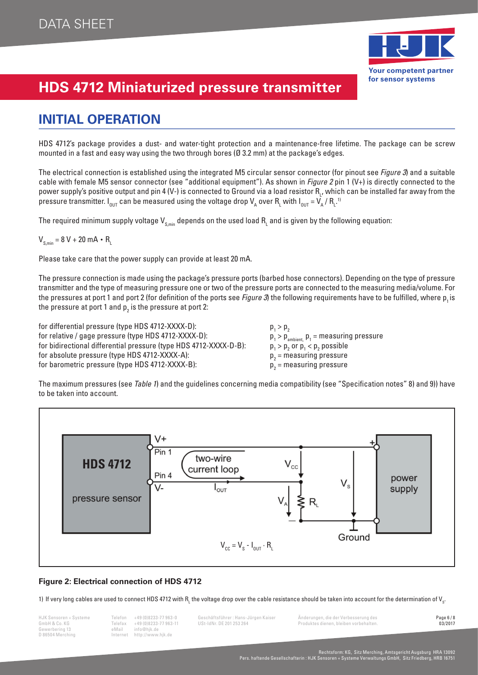

### **INITIAL OPERATION**

HDS 4712's package provides a dust- and water-tight protection and a maintenance-free lifetime. The package can be screw mounted in a fast and easy way using the two through bores (Ø 3.2 mm) at the package's edges.

The electrical connection is established using the integrated M5 circular sensor connector (for pinout see Figure 3) and a suitable cable with female M5 sensor connector (see "additional equipment"). As shown in Figure 2 pin 1  $(V+)$  is directly connected to the power supply's positive output and pin 4 (V-) is connected to Ground via a load resistor R<sub>L</sub>, which can be installed far away from the pressure transmitter. I<sub>out</sub> can be measured using the voltage drop V<sub>A</sub> over R<sub>L</sub> with I<sub>out</sub> = V<sub>A</sub> / R<sub>L</sub>.1

The required minimum supply voltage  $\sf V_{\sf s,min}$  depends on the used load  $\sf R_{\sf L}$  and is given by the following equation:

 $V_{s,min} = 8 V + 20 mA \cdot R_{L}$ 

Please take care that the power supply can provide at least 20 mA.

The pressure connection is made using the package's pressure ports (barbed hose connectors). Depending on the type of pressure transmitter and the type of measuring pressure one or two of the pressure ports are connected to the measuring media/volume. For the pressures at port 1 and port 2 (for definition of the ports see Figure 3) the following requirements have to be fulfilled, where p, is the pressure at port 1 and  $\bm{{\mathsf{p}}}_2$  is the pressure at port 2:

for differential pressure (type HDS 4712-XXXX-D): for relative / gage pressure (type HDS 4712-XXXX-D): for bidirectional differential pressure (type HDS 4712-XXXX-D-B): for absolute pressure (type HDS 4712-XXXX-A): for barometric pressure (type HDS 4712-XXXX-B):

 $p_1 > p_2$  $p_{\text{ambient,}}$   $p_1$  = measuring pressure  $>$  p<sub>2</sub> or  $p_1 < p_2$  possible  $p_{2}$  = measuring pressure  $p_{2}$  = measuring pressure

The maximum pressures (see Table 1) and the guidelines concerning media compatibility (see "Specification notes" 8) and 9)) have to be taken into account.



#### **Figure 2: Electrical connection of HDS 4712**

1) If very long cables are used to connect HDS 4712 with R<sub>L</sub> the voltage drop over the cable resistance should be taken into account for the determination of V<sub>s</sub>

Gewerbering 13 eMail<br>D 86504 Merching by The Internet

Telefax +49 (0)8233-77 963-11 USt-IdNr. DE 201 253 264 Produktes dienen, bleiben vorbehalten. Dei ben vorbehalten<br>eMail info@hik.de D 86504 Merching Internet http://www.hjk.de

HJK Sensoren + Systeme Telefon +49 (0)8233-77 963-0 Geschäftsführer : Hans-Jürgen Kaiser Änderungen, die der Verbesserung des Page 6/8<br>GmbH & Co. KG – Telefax +49 (0)8233-77 963-11 USt-IdNr. DE 201 253 264 – Produktes dien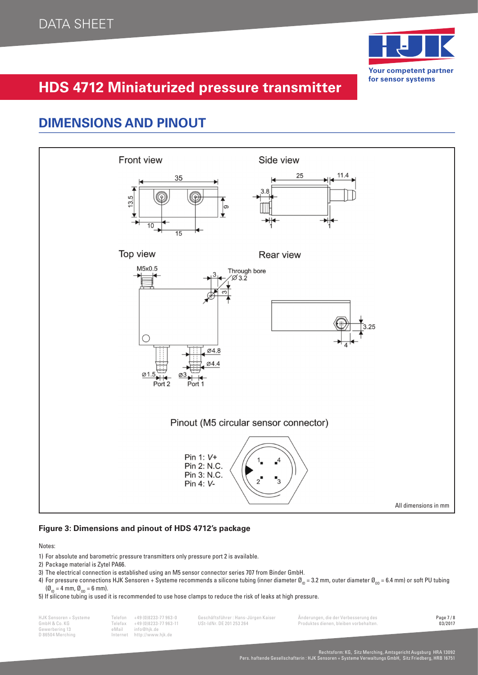

### **DIMENSIONS AND PINOUT**



#### **Figure 3: Dimensions and pinout of HDS 4712's package**

Notes:

- 1) For absolute and barometric pressure transmitters only pressure port 2 is available.
- 2) Package material is Zytel PA66.
- 3) The electrical connection is established using an M5 sensor connector series 707 from Binder GmbH.
- 4) For pressure connections HJK Sensoren + Systeme recommends a silicone tubing (inner diameter  $\alpha_{\text{in}} = 3.2$  mm, outer diameter  $\alpha_{\text{in}} = 6.4$  mm) or soft PU tubing  $(\emptyset_{1D} = 4$  mm,  $\emptyset_{1D} = 6$  mm).
- 5) If silicone tubing is used it is recommended to use hose clamps to reduce the risk of leaks at high pressure.

Gewerbering 13 eMail<br>D 86504 Merching internet

D 86504 Merching Internet http://www.hjk.de

GmbH A Co. Co. KG Telefax +49 (0)8233-77 963-11 USt-IdNr. DE 201 253 264 Produktes dienen, bleiben vorbehalten.<br>
eMail info@hik.de

HJK Sensoren + Systeme Telefon +49 (0)8233-77 963-0 Geschäftsführer : Hans-Jürgen Kaiser Änderungen, die der Verbesserung des Page 7/8<br>GmbH & Co. KG – Telefax +49 (0)8233-77 963-11 USt-IdNr. DE 201 253 264 – Produktes dien